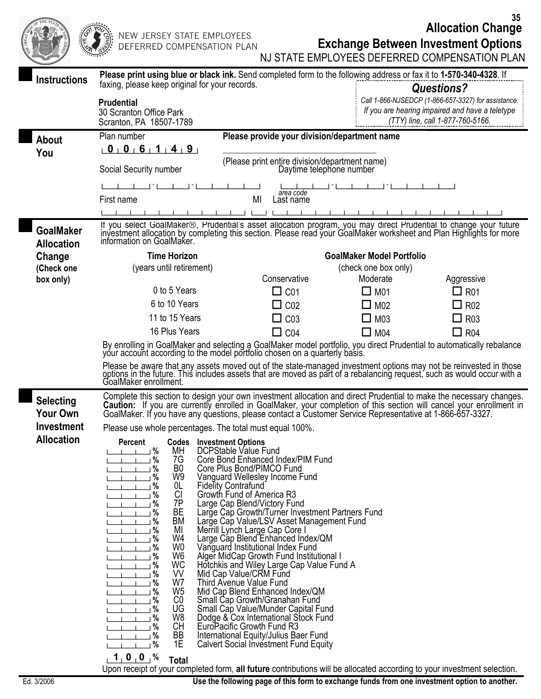**Allocation Change 35**

| シィコロト クレース<br>EXIL. | $16^\circ$<br>$\sum_{i=1}^{n}$<br>्ह | N<br>D |
|---------------------|--------------------------------------|--------|
| <b>Alice</b>        |                                      |        |

EW JERSEY STATE EMPLOYEES EFERRED COMPENSATION PLAN

## **Exchange Between Investment Options**

|                                       | بمجببتين                                                                                                                                                                                                                                                                                                                                                                                                                                                                                                             |                                                                                                          |                                  | NJ STATE EMPLOYEES DEFERRED COMPENSATION PLAN                                       |
|---------------------------------------|----------------------------------------------------------------------------------------------------------------------------------------------------------------------------------------------------------------------------------------------------------------------------------------------------------------------------------------------------------------------------------------------------------------------------------------------------------------------------------------------------------------------|----------------------------------------------------------------------------------------------------------|----------------------------------|-------------------------------------------------------------------------------------|
| <b>Instructions</b>                   | Please print using blue or black ink. Send completed form to the following address or fax it to 1-570-340-4328. If                                                                                                                                                                                                                                                                                                                                                                                                   |                                                                                                          |                                  |                                                                                     |
|                                       | faxing, please keep original for your records.                                                                                                                                                                                                                                                                                                                                                                                                                                                                       |                                                                                                          |                                  | <b>Questions?</b>                                                                   |
|                                       | <b>Prudential</b>                                                                                                                                                                                                                                                                                                                                                                                                                                                                                                    |                                                                                                          |                                  | Call 1-866-NJSEDCP (1-866-657-3327) for assistance.                                 |
|                                       | 30 Scranton Office Park                                                                                                                                                                                                                                                                                                                                                                                                                                                                                              |                                                                                                          |                                  | If you are hearing impaired and have a teletype<br>(TTY) line, call 1-877-760-5166. |
|                                       | Scranton, PA 18507-1789                                                                                                                                                                                                                                                                                                                                                                                                                                                                                              |                                                                                                          |                                  |                                                                                     |
| <b>About</b>                          | Plan number                                                                                                                                                                                                                                                                                                                                                                                                                                                                                                          | Please provide your division/department name                                                             |                                  |                                                                                     |
| You                                   | 0 0 0 6 1 4 9                                                                                                                                                                                                                                                                                                                                                                                                                                                                                                        |                                                                                                          |                                  |                                                                                     |
|                                       | Social Security number                                                                                                                                                                                                                                                                                                                                                                                                                                                                                               | (Please print entire division/department name)                                                           | Daytime telephone number         |                                                                                     |
|                                       |                                                                                                                                                                                                                                                                                                                                                                                                                                                                                                                      | area code                                                                                                |                                  |                                                                                     |
|                                       | First name                                                                                                                                                                                                                                                                                                                                                                                                                                                                                                           | MI<br>Last name                                                                                          |                                  |                                                                                     |
|                                       |                                                                                                                                                                                                                                                                                                                                                                                                                                                                                                                      |                                                                                                          |                                  |                                                                                     |
| <b>GoalMaker</b><br><b>Allocation</b> | If you select GoalMaker®, Prudential's asset allocation program, you may direct Prudential to change your future<br>investment allocation by completing this section. Please read your GoalMaker worksheet and Plan Highlights fo<br>information on GoalMaker.                                                                                                                                                                                                                                                       |                                                                                                          |                                  |                                                                                     |
| Change                                | <b>Time Horizon</b>                                                                                                                                                                                                                                                                                                                                                                                                                                                                                                  |                                                                                                          | <b>GoalMaker Model Portfolio</b> |                                                                                     |
| (Check one                            | (years until retirement)                                                                                                                                                                                                                                                                                                                                                                                                                                                                                             |                                                                                                          | (check one box only)             |                                                                                     |
| box only)                             |                                                                                                                                                                                                                                                                                                                                                                                                                                                                                                                      | Conservative                                                                                             | Moderate                         | Aggressive                                                                          |
|                                       | 0 to 5 Years                                                                                                                                                                                                                                                                                                                                                                                                                                                                                                         | $\square$ C01                                                                                            | $\Box$ M01                       | $\Box$ R01                                                                          |
|                                       | 6 to 10 Years                                                                                                                                                                                                                                                                                                                                                                                                                                                                                                        | CO <sub>2</sub>                                                                                          | $\Box$ M02                       | $\Box$ R02                                                                          |
|                                       | 11 to 15 Years                                                                                                                                                                                                                                                                                                                                                                                                                                                                                                       | $\square$ C03                                                                                            | $\Box$ M03                       | $\Box$ R03                                                                          |
|                                       | 16 Plus Years                                                                                                                                                                                                                                                                                                                                                                                                                                                                                                        | $\Box$ C04                                                                                               | $\Box$ M04                       | $\Box$ R04                                                                          |
|                                       | By enrolling in GoalMaker and selecting a GoalMaker model portfolio, you direct Prudential to automatically rebalance<br>your account according to the model portfolio chosen on a quarterly basis.                                                                                                                                                                                                                                                                                                                  |                                                                                                          |                                  |                                                                                     |
|                                       | Please be aware that any assets moved out of the state-managed investment options may not be reinvested in those options in the future. This includes assets that are moved as part of a rebalancing request, such as would oc                                                                                                                                                                                                                                                                                       |                                                                                                          |                                  |                                                                                     |
| <b>Selecting</b><br><b>Your Own</b>   | Complete this section to design your own investment allocation and direct Prudential to make the necessary changes.<br>Caution: If you are currently enrolled in GoalMaker, your completion of this section will cancel your enrollment in<br>GoalMaker. If you have any questions, please contact a Customer Service Representative at 1-866-657-3327.                                                                                                                                                              |                                                                                                          |                                  |                                                                                     |
| <b>Investment</b>                     | Please use whole percentages. The total must equal 100%.                                                                                                                                                                                                                                                                                                                                                                                                                                                             |                                                                                                          |                                  |                                                                                     |
| <b>Allocation</b>                     | <b>Codes</b> Investment Options<br>Percent                                                                                                                                                                                                                                                                                                                                                                                                                                                                           |                                                                                                          |                                  |                                                                                     |
|                                       | 」%                                                                                                                                                                                                                                                                                                                                                                                                                                                                                                                   | MH DCPStable Value Fund                                                                                  |                                  |                                                                                     |
|                                       | $\overline{\phantom{0}}$ $\overline{\phantom{0}}$<br>7G<br>$\frac{1}{1}$ $\frac{1}{1}$ $\frac{9}{6}$<br>B <sub>0</sub>                                                                                                                                                                                                                                                                                                                                                                                               | Core Bond Enhanced Index/PIM Fund<br>Core Plus Bond/PIMCO Fund                                           |                                  |                                                                                     |
|                                       | $\frac{1}{1}$ $\frac{1}{10}$<br>W9                                                                                                                                                                                                                                                                                                                                                                                                                                                                                   | Vanguard Wellesley Income Fund<br>Fidelity Contrafund                                                    |                                  |                                                                                     |
|                                       | $\overline{1}$ $\overline{1}$ $\overline{9}$<br>OL.<br>CI<br>$\perp$ $\perp$ $\perp$ $\%$                                                                                                                                                                                                                                                                                                                                                                                                                            | Growth Fund of America R3                                                                                |                                  |                                                                                     |
|                                       | 7P<br>$\frac{1}{1}$ $\frac{1}{1}$ $\frac{9}{6}$                                                                                                                                                                                                                                                                                                                                                                                                                                                                      | Large Cap Blend/Victory Fund                                                                             |                                  |                                                                                     |
|                                       | BE<br>$\frac{1}{1}$ $\frac{1}{1}$ %<br>11<br>ВM                                                                                                                                                                                                                                                                                                                                                                                                                                                                      | Large Cap Growth/Turner Investment Partners Fund<br>Large Cap Value/LSV Asset Management Fund            |                                  |                                                                                     |
|                                       | ΜI<br>$\frac{1}{1}$ $\frac{1}{1}$ $\frac{9}{6}$                                                                                                                                                                                                                                                                                                                                                                                                                                                                      |                                                                                                          |                                  |                                                                                     |
|                                       | $\frac{1}{1}$ $\frac{1}{1}$ $\frac{9}{6}$<br>W4<br>W <sub>0</sub><br><u> 1 1</u> %                                                                                                                                                                                                                                                                                                                                                                                                                                   | Merrill Lynch Large Cap Core  <br>Large Cap Blend Enhanced Index/QM<br>Vanguard Institutional Index Fund |                                  |                                                                                     |
|                                       | W <sub>6</sub><br>$\frac{1}{1}$ $\frac{1}{1}$ $\frac{9}{6}$                                                                                                                                                                                                                                                                                                                                                                                                                                                          | Alger MidCap Growth Fund Institutional I<br>Hotchkis and Wiley Large Cap Value Fund A                    |                                  |                                                                                     |
|                                       | WC<br>$-1$ $-1$ $\%$<br>VV<br>$\perp$ $\perp$ $\perp$ $\%$                                                                                                                                                                                                                                                                                                                                                                                                                                                           |                                                                                                          |                                  |                                                                                     |
|                                       | W7<br>$\frac{1}{1}$ $\frac{1}{10}$                                                                                                                                                                                                                                                                                                                                                                                                                                                                                   | Mid Cap Value/CRM Fund<br>Third Avenue Value Fund                                                        |                                  |                                                                                     |
|                                       | W <sub>5</sub><br>$\overline{1}$ $\overline{2}$<br>C <sub>0</sub><br>$\frac{1}{1}$ $\frac{1}{1}$ %                                                                                                                                                                                                                                                                                                                                                                                                                   | Mid Cap Blend Enhanced Index/QM<br>Small Cap Growth/Granahan Fund                                        |                                  |                                                                                     |
|                                       | $\frac{1}{1}$ $\frac{1}{1}$ $\frac{9}{6}$<br>UG                                                                                                                                                                                                                                                                                                                                                                                                                                                                      | Small Cap Value/Munder Capital Fund<br>Dodge & Cox International Stock Fund                              |                                  |                                                                                     |
|                                       | $\overline{\phantom{0}}$ $\overline{\phantom{0}}$ $\overline{\phantom{0}}$ $\overline{\phantom{0}}$ $\overline{\phantom{0}}$ $\overline{\phantom{0}}$ $\overline{\phantom{0}}$ $\overline{\phantom{0}}$ $\overline{\phantom{0}}$ $\overline{\phantom{0}}$ $\overline{\phantom{0}}$ $\overline{\phantom{0}}$ $\overline{\phantom{0}}$ $\overline{\phantom{0}}$ $\overline{\phantom{0}}$ $\overline{\phantom{0}}$ $\overline{\phantom{0}}$ $\overline{\phantom{0}}$ $\overline{\$<br>W8<br><b>CH</b><br>$\blacksquare$ | EuroPacific Growth Fund R3                                                                               |                                  |                                                                                     |
|                                       | $\frac{1}{1}$ $\frac{1}{1}$ $\frac{9}{6}$<br>BB                                                                                                                                                                                                                                                                                                                                                                                                                                                                      | International Equity/Julius Baer Fund                                                                    |                                  |                                                                                     |
|                                       | $\overline{\phantom{0}}$<br>1E                                                                                                                                                                                                                                                                                                                                                                                                                                                                                       | <b>Calvert Social Investment Fund Equity</b>                                                             |                                  |                                                                                     |
|                                       | 1, 0, 0, %<br><b>Total</b><br>Upon receipt of your completed form, all future contributions will be allocated according to your investment selection.                                                                                                                                                                                                                                                                                                                                                                |                                                                                                          |                                  |                                                                                     |